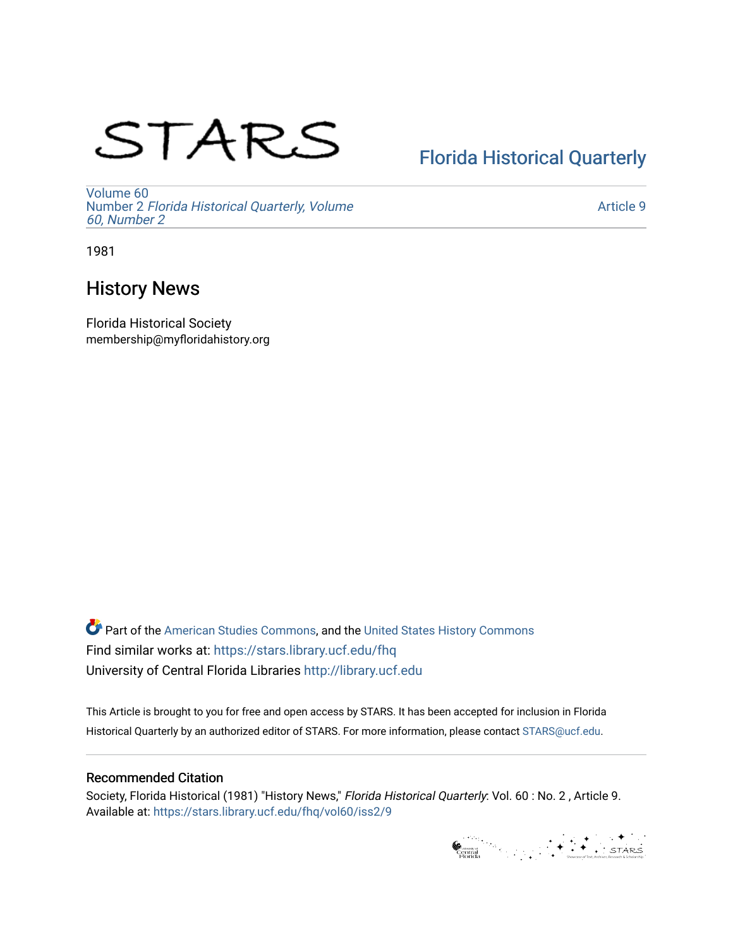# STARS

## [Florida Historical Quarterly](https://stars.library.ucf.edu/fhq)

[Volume 60](https://stars.library.ucf.edu/fhq/vol60) Number 2 [Florida Historical Quarterly, Volume](https://stars.library.ucf.edu/fhq/vol60/iss2)  [60, Number 2](https://stars.library.ucf.edu/fhq/vol60/iss2)

[Article 9](https://stars.library.ucf.edu/fhq/vol60/iss2/9) 

1981

### History News

Florida Historical Society membership@myfloridahistory.org

**C** Part of the [American Studies Commons](http://network.bepress.com/hgg/discipline/439?utm_source=stars.library.ucf.edu%2Ffhq%2Fvol60%2Fiss2%2F9&utm_medium=PDF&utm_campaign=PDFCoverPages), and the United States History Commons Find similar works at: <https://stars.library.ucf.edu/fhq> University of Central Florida Libraries [http://library.ucf.edu](http://library.ucf.edu/) 

This Article is brought to you for free and open access by STARS. It has been accepted for inclusion in Florida Historical Quarterly by an authorized editor of STARS. For more information, please contact [STARS@ucf.edu.](mailto:STARS@ucf.edu)

#### Recommended Citation

Society, Florida Historical (1981) "History News," Florida Historical Quarterly: Vol. 60 : No. 2 , Article 9. Available at: [https://stars.library.ucf.edu/fhq/vol60/iss2/9](https://stars.library.ucf.edu/fhq/vol60/iss2/9?utm_source=stars.library.ucf.edu%2Ffhq%2Fvol60%2Fiss2%2F9&utm_medium=PDF&utm_campaign=PDFCoverPages) 

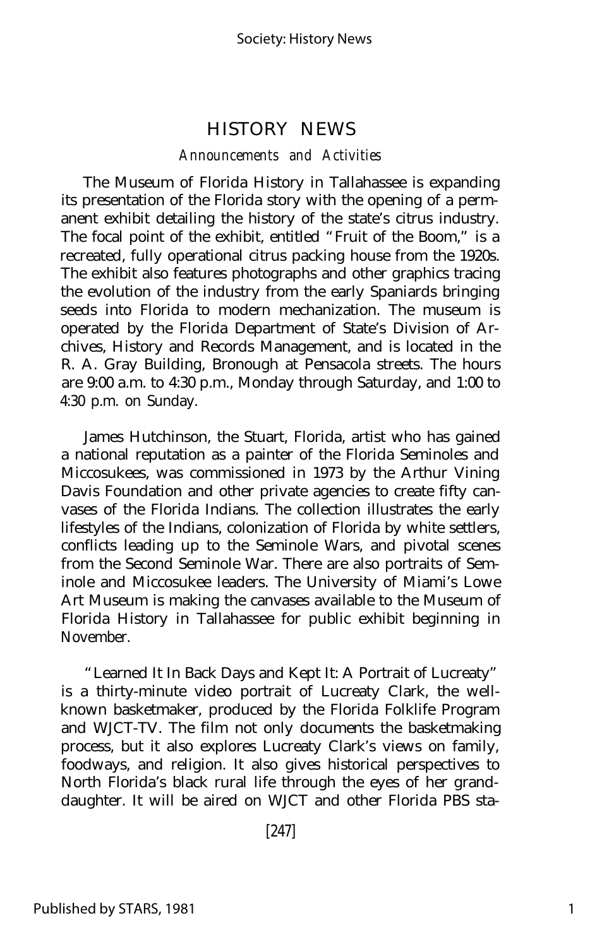#### HISTORY NEWS

#### *Announcements and Activities*

The Museum of Florida History in Tallahassee is expanding its presentation of the Florida story with the opening of a permanent exhibit detailing the history of the state's citrus industry. The focal point of the exhibit, entitled "Fruit of the Boom," is a recreated, fully operational citrus packing house from the 1920s. The exhibit also features photographs and other graphics tracing the evolution of the industry from the early Spaniards bringing seeds into Florida to modern mechanization. The museum is operated by the Florida Department of State's Division of Archives, History and Records Management, and is located in the R. A. Gray Building, Bronough at Pensacola streets. The hours are 9:00 a.m. to 4:30 p.m., Monday through Saturday, and 1:00 to 4:30 p.m. on Sunday.

James Hutchinson, the Stuart, Florida, artist who has gained a national reputation as a painter of the Florida Seminoles and Miccosukees, was commissioned in 1973 by the Arthur Vining Davis Foundation and other private agencies to create fifty canvases of the Florida Indians. The collection illustrates the early lifestyles of the Indians, colonization of Florida by white settlers, conflicts leading up to the Seminole Wars, and pivotal scenes from the Second Seminole War. There are also portraits of Seminole and Miccosukee leaders. The University of Miami's Lowe Art Museum is making the canvases available to the Museum of Florida History in Tallahassee for public exhibit beginning in November.

"Learned It In Back Days and Kept It: A Portrait of Lucreaty" is a thirty-minute video portrait of Lucreaty Clark, the wellknown basketmaker, produced by the Florida Folklife Program and WJCT-TV. The film not only documents the basketmaking process, but it also explores Lucreaty Clark's views on family, foodways, and religion. It also gives historical perspectives to North Florida's black rural life through the eyes of her granddaughter. It will be aired on WJCT and other Florida PBS sta-

[247]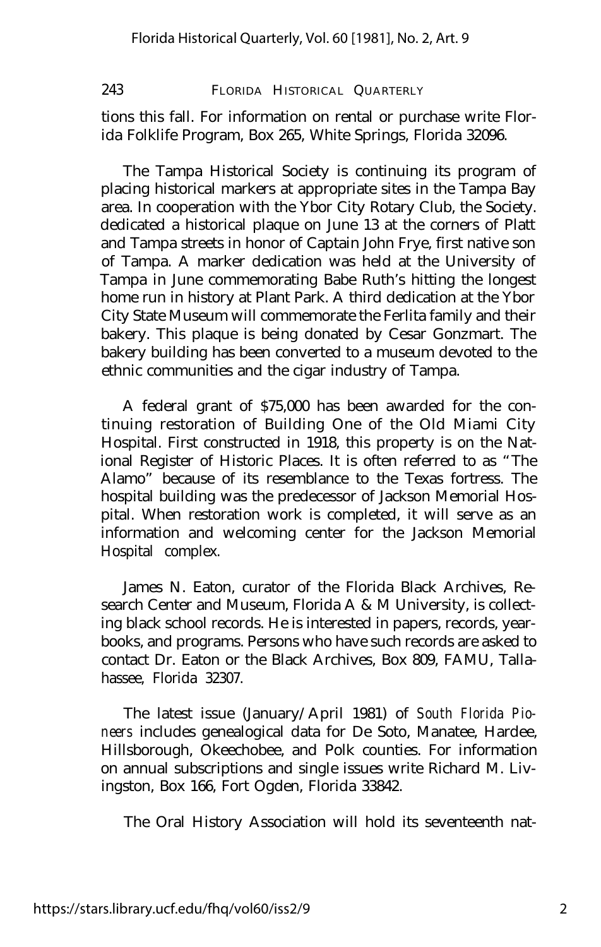243 FLORIDA HISTORICAL QUARTERLY

tions this fall. For information on rental or purchase write Florida Folklife Program, Box 265, White Springs, Florida 32096.

The Tampa Historical Society is continuing its program of placing historical markers at appropriate sites in the Tampa Bay area. In cooperation with the Ybor City Rotary Club, the Society. dedicated a historical plaque on June 13 at the corners of Platt and Tampa streets in honor of Captain John Frye, first native son of Tampa. A marker dedication was held at the University of Tampa in June commemorating Babe Ruth's hitting the longest home run in history at Plant Park. A third dedication at the Ybor City State Museum will commemorate the Ferlita family and their bakery. This plaque is being donated by Cesar Gonzmart. The bakery building has been converted to a museum devoted to the ethnic communities and the cigar industry of Tampa.

A federal grant of \$75,000 has been awarded for the continuing restoration of Building One of the Old Miami City Hospital. First constructed in 1918, this property is on the National Register of Historic Places. It is often referred to as "The Alamo" because of its resemblance to the Texas fortress. The hospital building was the predecessor of Jackson Memorial Hospital. When restoration work is completed, it will serve as an information and welcoming center for the Jackson Memorial Hospital complex.

James N. Eaton, curator of the Florida Black Archives, Research Center and Museum, Florida A & M University, is collecting black school records. He is interested in papers, records, yearbooks, and programs. Persons who have such records are asked to contact Dr. Eaton or the Black Archives, Box 809, FAMU, Tallahassee, Florida 32307.

The latest issue (January/April 1981) of *South Florida Pioneers* includes genealogical data for De Soto, Manatee, Hardee, Hillsborough, Okeechobee, and Polk counties. For information on annual subscriptions and single issues write Richard M. Livingston, Box 166, Fort Ogden, Florida 33842.

The Oral History Association will hold its seventeenth nat-